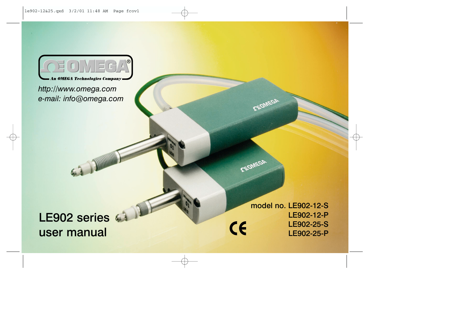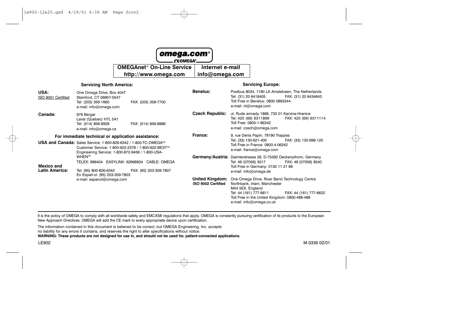| $ $ omega.com $^{\circ} $<br>$\sim$ $\Omega^{\text{SOMFGA}^{\circ}}$ |                    |  |  |  |
|----------------------------------------------------------------------|--------------------|--|--|--|
| OMEGAnet <sup>®</sup> On-Line Service   Internet e-mail              |                    |  |  |  |
| http://www.omega.com                                                 | $ $ info@omega.com |  |  |  |

#### **Servicing North America: Servicing Europe:** Benelux: Postbus 8034, 1180 LA Amstelveen. The Netherlands USA: One Omega Drive, Box 4047 Tel: (31) 20 6418405 FAX: (31) 20 6434643 ISO 9001 Certified Stamford CT 06907-0047 Toll Free in Benelux: 0800 0993344 Tel: (203) 359-1660 FAX: (203) 359-7700 e-mail: nl@omega.com e-mail: info@omega.com Czech Republic: ul. Rude armady 1868, 733 01 Karvina-Hranice Canada: 976 Bergar Tel: 420 (69) 6311899 FAX: 420 (69) 6311114 Laval (Quebec) H7L 5A1 Toll Free: 0800-1-66342 Tel: (514) 856-6928 FAX: (514) 856-6886 e-mail: czech@omega.com e-mail: info@omega.ca France: 9, rue Denis Papin, 78190 Trappes For immediate technical or application assistance: Tel: (33) 130-621-400 FAX: (33) 130-699-120 USA and Canada: Sales Service: 1-800-826-6342 / 1-800-TC-OMEGASM Toll Free in France: 0800-4-06342 Customer Service: 1-800-622-2378 / 1-800-622-BEST<sup>5M</sup> e-mail: france@omega.com Engineering Service: 1-800-872-9436 / 1-800-USA-**WHEN**<sup>SM</sup> Germany/Austria: Daimlerstrasse 26, D-75392 Deckenpfronn, Germany TELEX: 996404 EASYLINK: 62968934 CABLE: OMEGA Tel: 49 (07056) 3017 FAX: 49 (07056) 8540 **Mexico and** Toll Free in Germany: 0130 11 21 66 **Latin America:** Tel: (95) 800-826-6342 FAX: (95) 203-359-7807 e-mail: info@omega.de En Español: (95) 203-359-7803 **United Kingdom:** One Omega Drive, River Bend Technology Centre e-mail: espanol@omega.com ISO 9002 Certified Northbank, Irlam, Manchester M44 5EX, England Tel: 44 (161) 777-6611 FAX: 44 (161) 777-6622 Toll Free in the United Kingdom: 0800-488-488 e-mail: info@omega.co.uk

It is the policy of OMEGA to comply with all worldwide safety and EMC/EMI regulations that apply. OMEGA is constantly pursuing certification of its products to the European New Approach Directives. OMEGA will add the CE mark to every appropriate device upon certification.

The information contained in this document is believed to be correct, but OMEGA Engineering, Inc. accepts no liability for any errors it contains, and reserves the right to alter specifications without notice. WARNING: These products are not designed for use in, and should not be used for, patient-connected applications.

**LE902**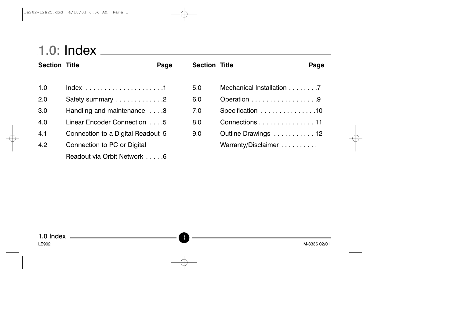# 

| <b>Section Title</b> |                                   | Page | <b>Section Title</b> |                           | Page |
|----------------------|-----------------------------------|------|----------------------|---------------------------|------|
| 1.0                  |                                   |      | 5.0                  | Mechanical Installation 7 |      |
| 2.0                  | Safety summary 2                  |      | 6.0                  | Operation 9               |      |
| 3.0                  | Handling and maintenance 3        |      | 7.0                  | Specification 10          |      |
| 4.0                  | Linear Encoder Connection 5       |      | 8.0                  | Connections 11            |      |
| 4.1                  | Connection to a Digital Readout 5 |      | 9.0                  | Outline Drawings  12      |      |
| 4.2                  | Connection to PC or Digital       |      |                      | Warranty/Disclaimer       |      |
|                      | Readout via Orbit Network 6       |      |                      |                           |      |

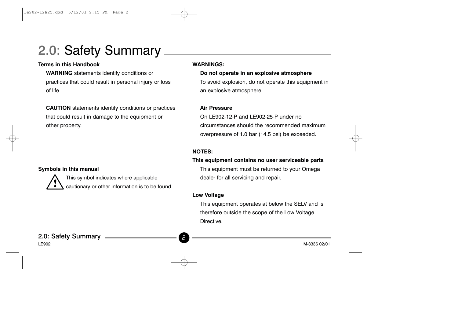# 2.0: Safety Summary \_

### **Terms in this Handbook**

**WARNING** statements identify conditions or practices that could result in personal injury or loss of life.

**CAUTION** statements identify conditions or practices that could result in damage to the equipment or other property.

### Symbols in this manual

This symbol indicates where applicable cautionary or other information is to be found.

### **WARNINGS:**

Do not operate in an explosive atmosphere To avoid explosion, do not operate this equipment in an explosive atmosphere.

### **Air Pressure**

On LE902-12-P and LE902-25-P under no circumstances should the recommended maximum overpressure of 1.0 bar (14.5 psi) be exceeded.

### **NOTES:**

### This equipment contains no user serviceable parts

This equipment must be returned to your Omega dealer for all servicing and repair.

### **Low Voltage**

This equipment operates at below the SELV and is therefore outside the scope of the Low Voltage Directive.

2.0: Safety Summary **LE902**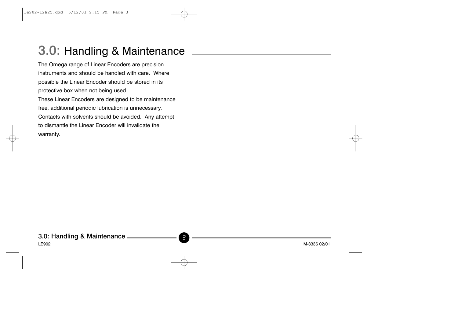## 3.0: Handling & Maintenance

The Omega range of Linear Encoders are precision instruments and should be handled with care. Where possible the Linear Encoder should be stored in its protective box when not being used. These Linear Encoders are designed to be maintenance free, additional periodic lubrication is unnecessary. Contacts with solvents should be avoided. Any attempt to dismantle the Linear Encoder will invalidate the warranty.

3.0: Handling & Maintenance -LE902 M-3336 02/01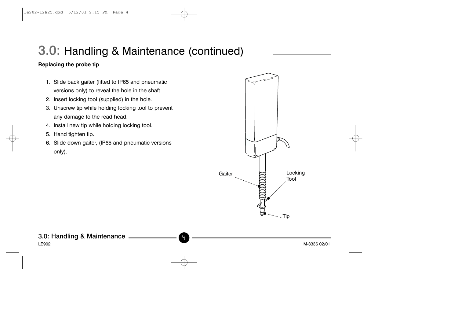## 3.0: Handling & Maintenance (continued)

### Replacing the probe tip

- 1. Slide back gaiter (fitted to IP65 and pneumatic versions only) to reveal the hole in the shaft. 2. Insert locking tool (supplied) in the hole.
- 3. Unscrew tip while holding locking tool to prevent any damage to the read head.
- 4. Install new tip while holding locking tool.
- 5. Hand tighten tip.
- 6. Slide down gaiter, (IP65 and pneumatic versions only).



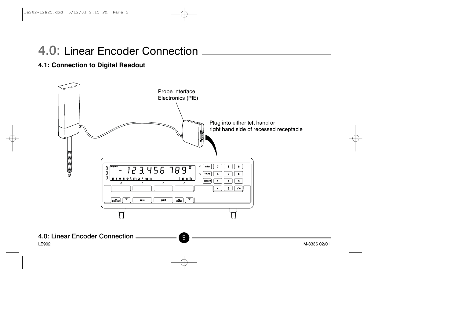## 4.0: Linear Encoder Connection

### 4.1: Connection to Digital Readout

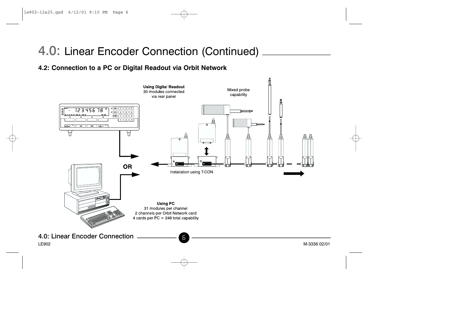## 4.0: Linear Encoder Connection (Continued).

## 4.2: Connection to a PC or Digital Readout via Orbit Network

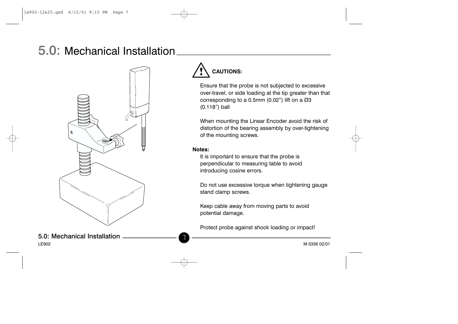## 5.0: Mechanical Installation.



5.0: Mechanical Installation LE902

## **CAUTIONS:**

Ensure that the probe is not subjected to excessive over-travel, or side loading at the tip greater than that corresponding to a 0.5mm (0.02") lift on a Ø3  $(0.118")$  ball

When mounting the Linear Encoder avoid the risk of distortion of the bearing assembly by over-tightening of the mounting screws.

#### Notes:

It is important to ensure that the probe is perpendicular to measuring table to avoid introducing cosine errors.

Do not use excessive torque when tightening gauge stand clamp screws.

Keep cable away from moving parts to avoid potential damage.

Protect probe against shock loading or impact!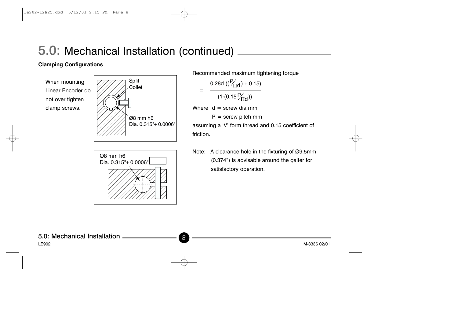## 5.0: Mechanical Installation (continued) \_

### **Clamping Configurations**

When mounting Linear Encoder do not over tighten clamp screws.





Recommended maximum tightening torque  $\frac{0.28d\left((\frac{P}{T1d})+0.15\right)}{(1-(0.15\frac{P}{T1d}))}$ Where  $d =$  screw dia mm  $P =$  screw pitch mm

assuming a 'V' form thread and 0.15 coefficient of friction.

Note: A clearance hole in the fixturing of Ø9.5mm (0.374") is advisable around the gaiter for satisfactory operation.

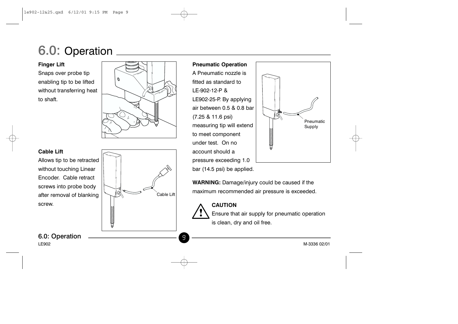# 6.0: Operation

**Finger Lift** Snaps over probe tip enabling tip to be lifted without transferring heat to shaft.



Cable Lift

9



Allows tip to be retracted without touching Linear Encoder. Cable retract screws into probe body after removal of blanking screw.

r annimin

6.0: Operation **LE902** 



WARNING: Damage/injury could be caused if the maximum recommended air pressure is exceeded.

> **CAUTION** Ensure that air supply for pneumatic operation is clean, dry and oil free.

**CHANGE CONTENT** 

M-3336 02/01

Pneumatic

Supply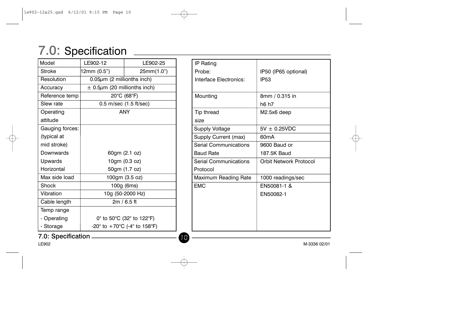# 7.0: Specification

| Model              | LE902-12                               | LE902-25                                                               |    | IP Rating                    |                               |
|--------------------|----------------------------------------|------------------------------------------------------------------------|----|------------------------------|-------------------------------|
| <b>Stroke</b>      | 12mm (0.5")                            | 25mm(1.0")                                                             |    | Probe:                       | IP50 (IP65 optional)          |
| Resolution         | $0.05 \mu m$ (2 millionths inch)       |                                                                        |    | Interface Electronics:       | <b>IP53</b>                   |
| Accuracy           | $\pm$ 0.5 $\mu$ m (20 millionths inch) |                                                                        |    |                              |                               |
| Reference temp     | $20^{\circ}$ C (68 $^{\circ}$ F)       |                                                                        |    | Mounting                     | 8mm / 0.315 in                |
| Slew rate          | 0.5 m/sec (1.5 ft/sec)                 |                                                                        |    |                              | h6 h7                         |
| Operating          | <b>ANY</b>                             |                                                                        |    | Tip thread                   | M2.5x6 deep                   |
| attitude           |                                        |                                                                        |    | size                         |                               |
| Gauging forces:    |                                        |                                                                        |    | <b>Supply Voltage</b>        | $5V \pm 0.25VDC$              |
| (typical at        |                                        |                                                                        |    | Supply Current (max)         | 60 <sub>m</sub> A             |
| mid stroke)        |                                        |                                                                        |    | <b>Serial Communications</b> | 9600 Baud or                  |
| Downwards          | 60gm (2.1 oz)                          |                                                                        |    | <b>Baud Rate</b>             | 187.5K Baud                   |
| Upwards            |                                        | 10gm (0.3 oz)                                                          |    | <b>Serial Communications</b> | <b>Orbit Network Protocol</b> |
| Horizontal         | 50gm (1.7 oz)                          |                                                                        |    | Protocol                     |                               |
| Max side load      |                                        | 100gm (3.5 oz)                                                         |    | Maximum Reading Rate         | 1000 readings/sec             |
| Shock              |                                        | 100g (6ms)                                                             |    | <b>EMC</b>                   | EN50081-1 &                   |
| Vibration          |                                        | 10g (50-2000 Hz)                                                       |    |                              | EN50082-1                     |
| Cable length       |                                        | $2m / 6.5$ ft                                                          |    |                              |                               |
| Temp range         |                                        |                                                                        |    |                              |                               |
| - Operating        |                                        | 0° to 50°C (32° to 122°F)                                              |    |                              |                               |
| - Storage          |                                        | -20 $^{\circ}$ to +70 $^{\circ}$ C (-4 $^{\circ}$ to 158 $^{\circ}$ F) |    |                              |                               |
| 7.0: Specification |                                        |                                                                        | 10 |                              |                               |

**LE902**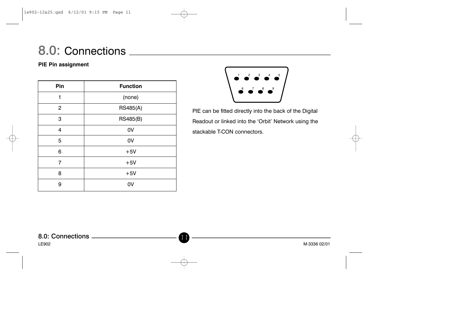# 8.0: Connections \_\_\_\_\_\_\_

### PIE Pin assignment

| Pin            | <b>Function</b> |
|----------------|-----------------|
| 1              | (none)          |
| 2              | <b>RS485(A)</b> |
| 3              | RS485(B)        |
| 4              | 0V              |
| 5              | 0V              |
| 6              | $+5V$           |
| $\overline{7}$ | $+5V$           |
| 8              | $+5V$           |
| 9              | 0V              |



PIE can be fitted directly into the back of the Digital Readout or linked into the 'Orbit' Network using the stackable T-CON connectors.

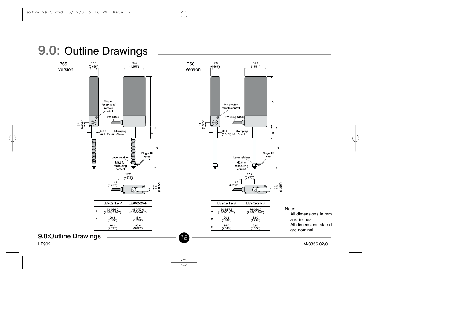

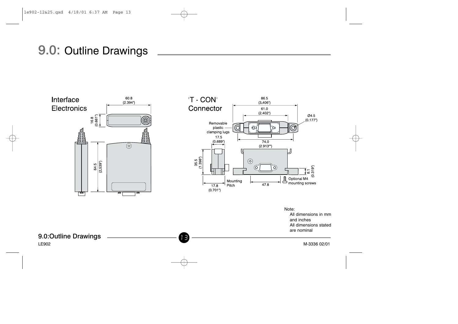## 9.0: Outline Drawings

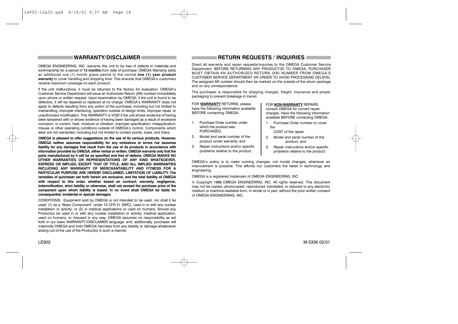#### **WARRANTY/DISCLAIMER**

OMEGA ENGINEERING, INC. warrants this unit to be free of defects in materials and workmanship for a period of 13 months from date of purchase. OMEGA Warranty adds an additional one (1) month grace period to the normal one (1) year product warranty to cover handling and shipping time. This ensures that OMEGA's customers receive maximum coverage on each product.

If the unit malfunctions, it must be returned to the factory for evaluation. OMEGA's Customer Service Department will issue an Authorized Return (AR) number immediately upon phone or written request. Upon examination by OMEGA, if the unit is found to be defective, it will be repaired or replaced at no charge. OMEGA's WARRANTY does not apply to defects resulting from any action of the purchaser, including but not limited to mishandling, improper interfacing, operation outside of design limits, improper repair, or unauthorized modification. This WARRANTY is VOID if the unit shows evidence of having been tampered with or shows evidence of having been damaged as a result of excessive corrosion; or current, heat, moisture or vibration; improper specification; misapplication; misuse or other operating conditions outside of OMEGA's control. Components which wear are not warranted, including but not limited to contact points, fuses, and triacs.

OMEGA is pleased to offer suggestions on the use of its various products. However, OMEGA neither assumes responsibility for any omissions or errors nor assumes liability for any damages that result from the use of its products in accordance with information provided by OMEGA, either verbal or written. OMEGA warrants only that the parts manufactured by it will be as specified and free of defects. OMEGA MAKES NO OTHER WARRANTIES OR REPRESENTATIONS OF ANY KIND WHATSOEVER. EXPRESS OR IMPLIED. EXCEPT THAT OF TITLE, AND ALL IMPLIED WARRANTIES INCLUDING ANY WARRANTY OF MERCHANTABILITY AND FITNESS FOR A PARTICULAR PURPOSE ARE HEREBY DISCLAIMED. LIMITATION OF LIABILITY: The remedies of purchaser set forth herein are exclusive, and the total liability of OMEGA with respect to this order, whether based on contract, warranty, negligence, indemnification, strict liability or otherwise, shall not exceed the purchase price of the component upon which liability is based. In no event shall OMEGA be liable for consequential, incidental or special damages.

CONDITIONS: Equipment sold by OMEGA is not intended to be used, nor shall it be used: (1) as a "Basic Component" under 10 CFR 21 (NRC), used in or with any nuclear installation or activity; or (2) in medical applications or used on humans. Should any Product(s) be used in or with any nuclear installation or activity, medical application, used on humans, or misused in any way. OMEGA assumes no responsibility as set forth in our basic WARRANTY/DISCLAIMER language, and, additionally, purchaser will indemnify OMEGA and hold OMEGA harmless from any liability or damage whatsoever arising out of the use of the Product(s) in such a manner.

#### **RETURN REQUESTS / INQUIRIES**

Direct all warranty and repair requests/inquiries to the OMEGA Customer Service Department. BEFORE RETURNING ANY PRODUCT(S) TO OMEGA. PURCHASER MUST OBTAIN AN AUTHORIZED RETURN (AR) NUMBER FROM OMEGA'S CUSTOMER SERVICE DEPARTMENT (IN ORDER TO AVOID PROCESSING DELAYS). The assigned AR number should then be marked on the outside of the return package and on any correspondence.

The purchaser is responsible for shipping charges, freight, insurance and proper packaging to prevent breakage in transit.

FOR WARRANTY RETURNS, please have the following information available BEFORE contacting OMEGA:

- 1. Purchase Order number under which the product was PURCHASED.
- 2. Model and serial number of the product under warranty, and
- $\mathcal{R}$ Repair instructions and/or specific problems relative to the product.

#### FOR NON-WARRANTY REPAIRS.

consult OMEGA for current repair charges. Have the following information available BEFORE contacting OMEGA:

- 1. Purchase Order number to cover the
	- COST of the repair.
- 2. Model and serial number of the product, and
- Repair instructions and/or specific  $\mathcal{R}$ problems relative to the product.

OMEGA's policy is to make running changes, not model changes, whenever an improvement is possible. This affords our customers the latest in technology and engineering.

OMEGA is a registered trademark of OMEGA ENGINEERING, INC.

© Copyright 1998 OMEGA ENGINEERING, INC. All rights reserved. This document may not be copied, photocopied, reproduced, translated, or reduced to any electronic medium or machine-readable form, in whole or in part, without the prior written consent of OMEGA ENGINEERING, INC.